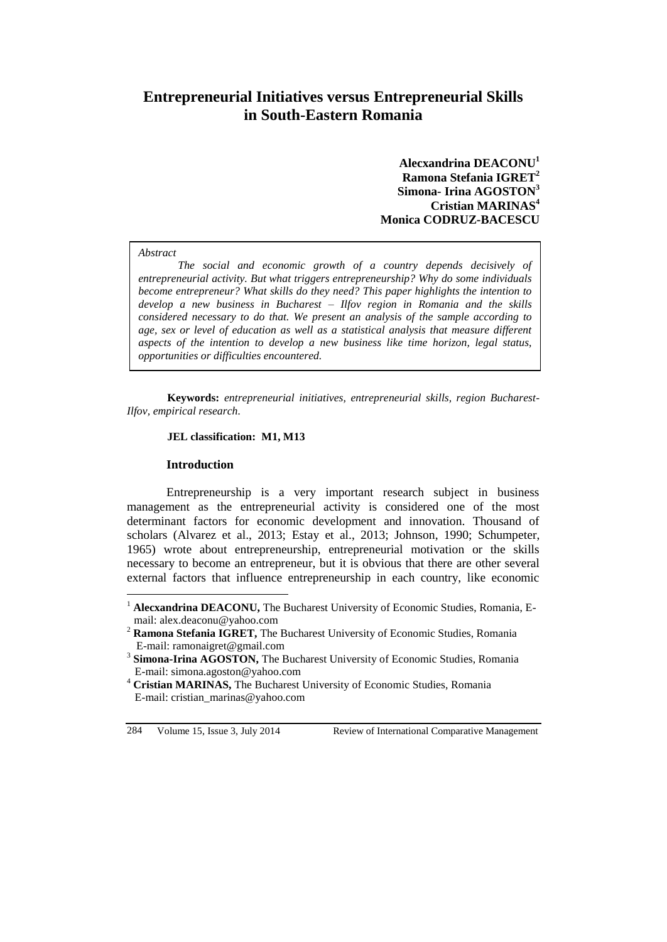# **Entrepreneurial Initiatives versus Entrepreneurial Skills in South-Eastern Romania**

**Alecxandrina DEACONU<sup>1</sup> Ramona Stefania IGRET<sup>2</sup> Simona- Irina AGOSTON<sup>3</sup> Cristian MARINAS<sup>4</sup> Monica CODRUZ-BACESCU**

*Abstract*

 $\overline{a}$ 

*The social and economic growth of a country depends decisively of entrepreneurial activity. But what triggers entrepreneurship? Why do some individuals become entrepreneur? What skills do they need? This paper highlights the intention to develop a new business in Bucharest – Ilfov region in Romania and the skills considered necessary to do that. We present an analysis of the sample according to age, sex or level of education as well as a statistical analysis that measure different aspects of the intention to develop a new business like time horizon, legal status, opportunities or difficulties encountered.*

**Keywords:** *entrepreneurial initiatives, entrepreneurial skills, region Bucharest-Ilfov, empirical research.*

#### **JEL classification: M1, M13**

#### **Introduction**

*.* 

Entrepreneurship is a very important research subject in business management as the entrepreneurial activity is considered one of the most determinant factors for economic development and innovation. Thousand of scholars (Alvarez et al., 2013; Estay et al., 2013; Johnson, 1990; Schumpeter, 1965) wrote about entrepreneurship, entrepreneurial motivation or the skills necessary to become an entrepreneur, but it is obvious that there are other several external factors that influence entrepreneurship in each country, like economic

<sup>&</sup>lt;sup>1</sup> **Alecxandrina DEACONU**, The Bucharest University of Economic Studies, Romania, Email: alex.deaconu@yahoo.com

<sup>2</sup> **Ramona Stefania IGRET,** The Bucharest University of Economic Studies, Romania E-mail: ramonaigret@gmail.com

<sup>&</sup>lt;sup>3</sup> Simona-Irina AGOSTON, The Bucharest University of Economic Studies, Romania E-mail: simona.agoston@yahoo.com

<sup>4</sup> **Cristian MARINAS,** The Bucharest University of Economic Studies, Romania E-mail: cristian\_marinas@yahoo.com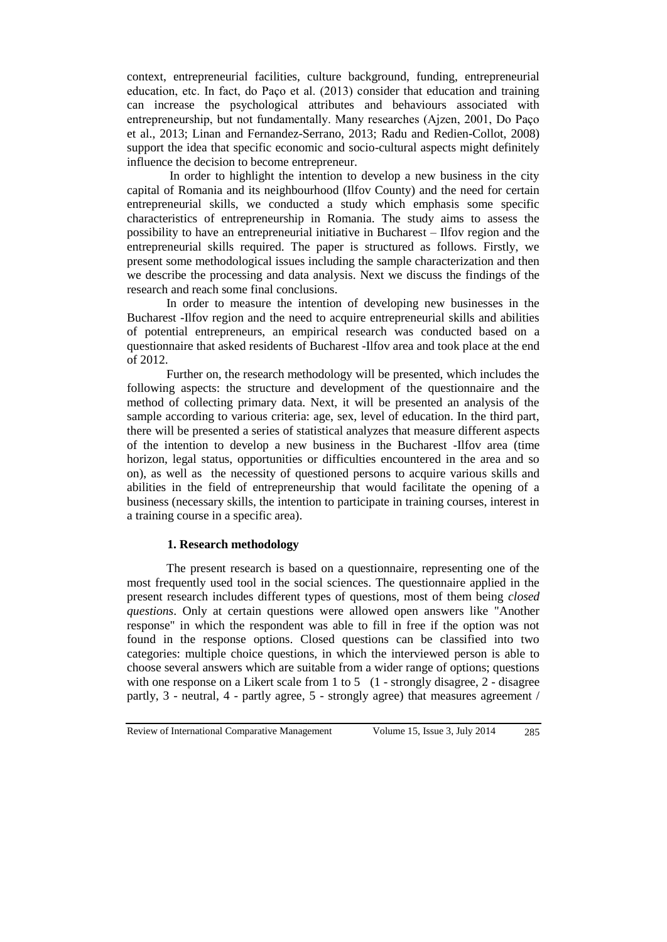context, entrepreneurial facilities, culture background, funding, entrepreneurial education, etc. In fact, do Paço et al. (2013) consider that education and training can increase the psychological attributes and behaviours associated with entrepreneurship, but not fundamentally. Many researches (Ajzen, 2001, Do Paço et al., 2013; Linan and Fernandez-Serrano, 2013; Radu and Redien-Collot, 2008) support the idea that specific economic and socio-cultural aspects might definitely influence the decision to become entrepreneur.

In order to highlight the intention to develop a new business in the city capital of Romania and its neighbourhood (Ilfov County) and the need for certain entrepreneurial skills, we conducted a study which emphasis some specific characteristics of entrepreneurship in Romania. The study aims to assess the possibility to have an entrepreneurial initiative in Bucharest – Ilfov region and the entrepreneurial skills required. The paper is structured as follows. Firstly, we present some methodological issues including the sample characterization and then we describe the processing and data analysis. Next we discuss the findings of the research and reach some final conclusions.

In order to measure the intention of developing new businesses in the Bucharest -Ilfov region and the need to acquire entrepreneurial skills and abilities of potential entrepreneurs, an empirical research was conducted based on a questionnaire that asked residents of Bucharest -Ilfov area and took place at the end of 2012.

Further on, the research methodology will be presented, which includes the following aspects: the structure and development of the questionnaire and the method of collecting primary data. Next, it will be presented an analysis of the sample according to various criteria: age, sex, level of education. In the third part, there will be presented a series of statistical analyzes that measure different aspects of the intention to develop a new business in the Bucharest -Ilfov area (time horizon, legal status, opportunities or difficulties encountered in the area and so on), as well as the necessity of questioned persons to acquire various skills and abilities in the field of entrepreneurship that would facilitate the opening of a business (necessary skills, the intention to participate in training courses, interest in a training course in a specific area).

### **1. Research methodology**

The present research is based on a questionnaire, representing one of the most frequently used tool in the social sciences. The questionnaire applied in the present research includes different types of questions, most of them being *closed questions*. Only at certain questions were allowed open answers like "Another response" in which the respondent was able to fill in free if the option was not found in the response options. Closed questions can be classified into two categories: multiple choice questions, in which the interviewed person is able to choose several answers which are suitable from a wider range of options; questions with one response on a Likert scale from 1 to 5 (1 - strongly disagree, 2 - disagree partly, 3 - neutral, 4 - partly agree, 5 - strongly agree) that measures agreement /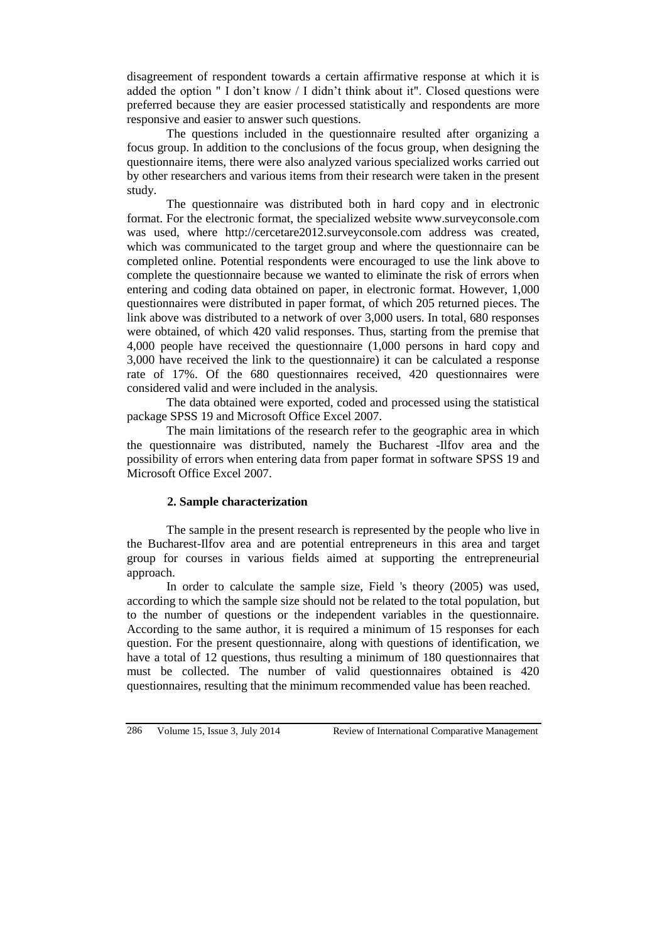disagreement of respondent towards a certain affirmative response at which it is added the option " I don't know / I didn't think about it". Closed questions were preferred because they are easier processed statistically and respondents are more responsive and easier to answer such questions.

The questions included in the questionnaire resulted after organizing a focus group. In addition to the conclusions of the focus group, when designing the questionnaire items, there were also analyzed various specialized works carried out by other researchers and various items from their research were taken in the present study.

The questionnaire was distributed both in hard copy and in electronic format. For the electronic format, the specialized website www.surveyconsole.com was used, where http://cercetare2012.surveyconsole.com address was created, which was communicated to the target group and where the questionnaire can be completed online. Potential respondents were encouraged to use the link above to complete the questionnaire because we wanted to eliminate the risk of errors when entering and coding data obtained on paper, in electronic format. However, 1,000 questionnaires were distributed in paper format, of which 205 returned pieces. The link above was distributed to a network of over 3,000 users. In total, 680 responses were obtained, of which 420 valid responses. Thus, starting from the premise that 4,000 people have received the questionnaire (1,000 persons in hard copy and 3,000 have received the link to the questionnaire) it can be calculated a response rate of 17%. Of the 680 questionnaires received, 420 questionnaires were considered valid and were included in the analysis.

The data obtained were exported, coded and processed using the statistical package SPSS 19 and Microsoft Office Excel 2007.

The main limitations of the research refer to the geographic area in which the questionnaire was distributed, namely the Bucharest -Ilfov area and the possibility of errors when entering data from paper format in software SPSS 19 and Microsoft Office Excel 2007.

# **2. Sample characterization**

The sample in the present research is represented by the people who live in the Bucharest-Ilfov area and are potential entrepreneurs in this area and target group for courses in various fields aimed at supporting the entrepreneurial approach.

In order to calculate the sample size, Field 's theory (2005) was used, according to which the sample size should not be related to the total population, but to the number of questions or the independent variables in the questionnaire. According to the same author, it is required a minimum of 15 responses for each question. For the present questionnaire, along with questions of identification, we have a total of 12 questions, thus resulting a minimum of 180 questionnaires that must be collected. The number of valid questionnaires obtained is 420 questionnaires, resulting that the minimum recommended value has been reached.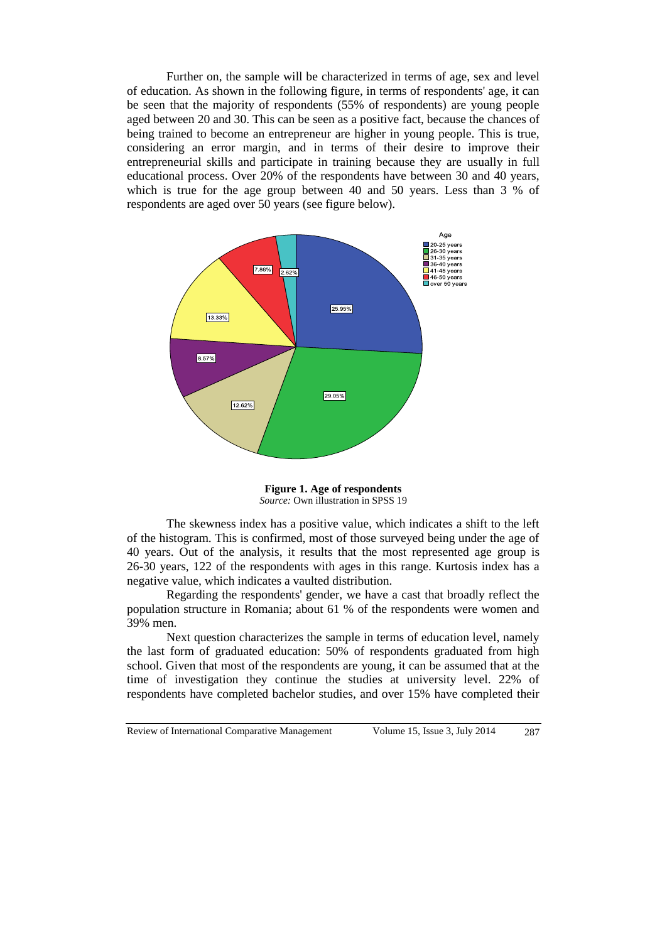Further on, the sample will be characterized in terms of age, sex and level of education. As shown in the following figure, in terms of respondents' age, it can be seen that the majority of respondents (55% of respondents) are young people aged between 20 and 30. This can be seen as a positive fact, because the chances of being trained to become an entrepreneur are higher in young people. This is true, considering an error margin, and in terms of their desire to improve their entrepreneurial skills and participate in training because they are usually in full educational process. Over 20% of the respondents have between 30 and 40 years, which is true for the age group between 40 and 50 years. Less than 3 % of respondents are aged over 50 years (see figure below).



**Figure 1. Age of respondents** *Source:* Own illustration in SPSS 19

The skewness index has a positive value, which indicates a shift to the left of the histogram. This is confirmed, most of those surveyed being under the age of 40 years. Out of the analysis, it results that the most represented age group is 26-30 years, 122 of the respondents with ages in this range. Kurtosis index has a negative value, which indicates a vaulted distribution.

Regarding the respondents' gender, we have a cast that broadly reflect the population structure in Romania; about 61 % of the respondents were women and 39% men.

Next question characterizes the sample in terms of education level, namely the last form of graduated education: 50% of respondents graduated from high school. Given that most of the respondents are young, it can be assumed that at the time of investigation they continue the studies at university level. 22% of respondents have completed bachelor studies, and over 15% have completed their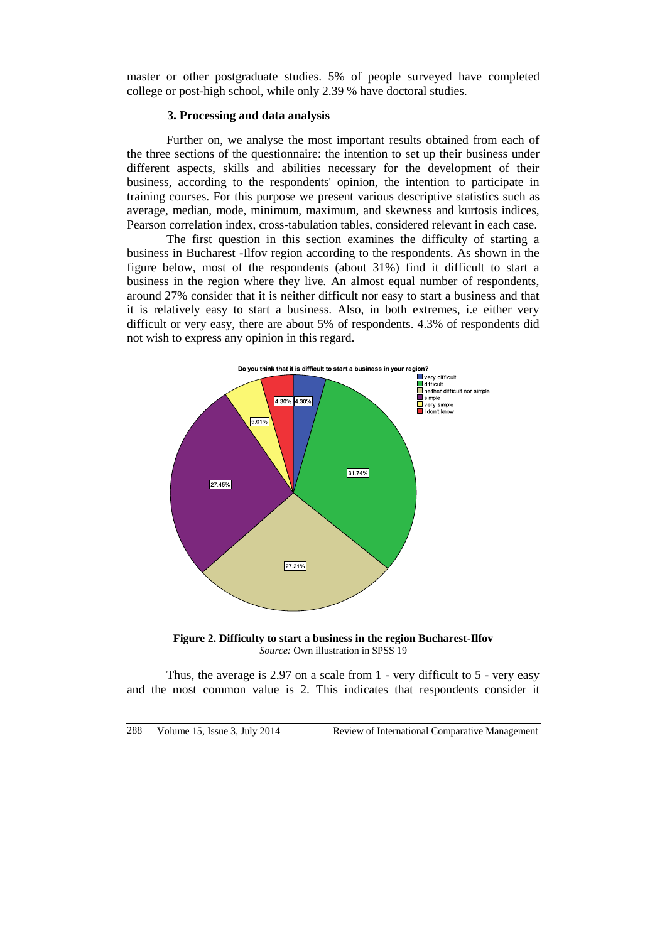master or other postgraduate studies. 5% of people surveyed have completed college or post-high school, while only 2.39 % have doctoral studies.

## **3. Processing and data analysis**

Further on, we analyse the most important results obtained from each of the three sections of the questionnaire: the intention to set up their business under different aspects, skills and abilities necessary for the development of their business, according to the respondents' opinion, the intention to participate in training courses. For this purpose we present various descriptive statistics such as average, median, mode, minimum, maximum, and skewness and kurtosis indices, Pearson correlation index, cross-tabulation tables, considered relevant in each case.

The first question in this section examines the difficulty of starting a business in Bucharest -Ilfov region according to the respondents. As shown in the figure below, most of the respondents (about 31%) find it difficult to start a business in the region where they live. An almost equal number of respondents, around 27% consider that it is neither difficult nor easy to start a business and that it is relatively easy to start a business. Also, in both extremes, i.e either very difficult or very easy, there are about 5% of respondents. 4.3% of respondents did not wish to express any opinion in this regard.



**Figure 2. Difficulty to start a business in the region Bucharest-Ilfov** *Source:* Own illustration in SPSS 19

Thus, the average is 2.97 on a scale from 1 - very difficult to 5 - very easy and the most common value is 2. This indicates that respondents consider it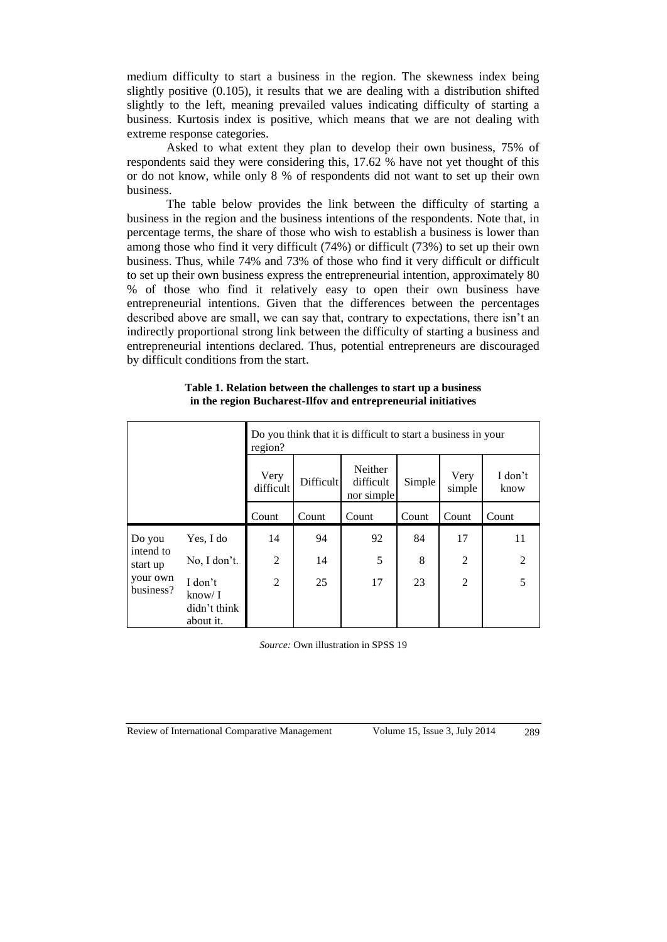medium difficulty to start a business in the region. The skewness index being slightly positive (0.105), it results that we are dealing with a distribution shifted slightly to the left, meaning prevailed values indicating difficulty of starting a business. Kurtosis index is positive, which means that we are not dealing with extreme response categories.

Asked to what extent they plan to develop their own business, 75% of respondents said they were considering this, 17.62 % have not yet thought of this or do not know, while only 8 % of respondents did not want to set up their own business.

The table below provides the link between the difficulty of starting a business in the region and the business intentions of the respondents. Note that, in percentage terms, the share of those who wish to establish a business is lower than among those who find it very difficult (74%) or difficult (73%) to set up their own business. Thus, while 74% and 73% of those who find it very difficult or difficult to set up their own business express the entrepreneurial intention, approximately 80 % of those who find it relatively easy to open their own business have entrepreneurial intentions. Given that the differences between the percentages described above are small, we can say that, contrary to expectations, there isn't an indirectly proportional strong link between the difficulty of starting a business and entrepreneurial intentions declared. Thus, potential entrepreneurs are discouraged by difficult conditions from the start.

|                                                          |                                                 | Do you think that it is difficult to start a business in your<br>region? |           |                                    |        |                |                 |
|----------------------------------------------------------|-------------------------------------------------|--------------------------------------------------------------------------|-----------|------------------------------------|--------|----------------|-----------------|
|                                                          |                                                 | Very<br>difficult                                                        | Difficult | Neither<br>difficult<br>nor simple | Simple | Very<br>simple | I don't<br>know |
|                                                          |                                                 | Count                                                                    | Count     | Count                              | Count  | Count          | Count           |
| Do you<br>intend to<br>start up<br>your own<br>business? | Yes, I do                                       | 14                                                                       | 94        | 92                                 | 84     | 17             | 11              |
|                                                          | No, I don't.                                    | $\overline{2}$                                                           | 14        | 5                                  | 8      | $\overline{2}$ | $\mathfrak{D}$  |
|                                                          | I don't<br>know/ I<br>didn't think<br>about it. | $\overline{2}$                                                           | 25        | 17                                 | 23     | $\overline{2}$ | 5               |

**Table 1. Relation between the challenges to start up a business in the region Bucharest-Ilfov and entrepreneurial initiatives**

*Source:* Own illustration in SPSS 19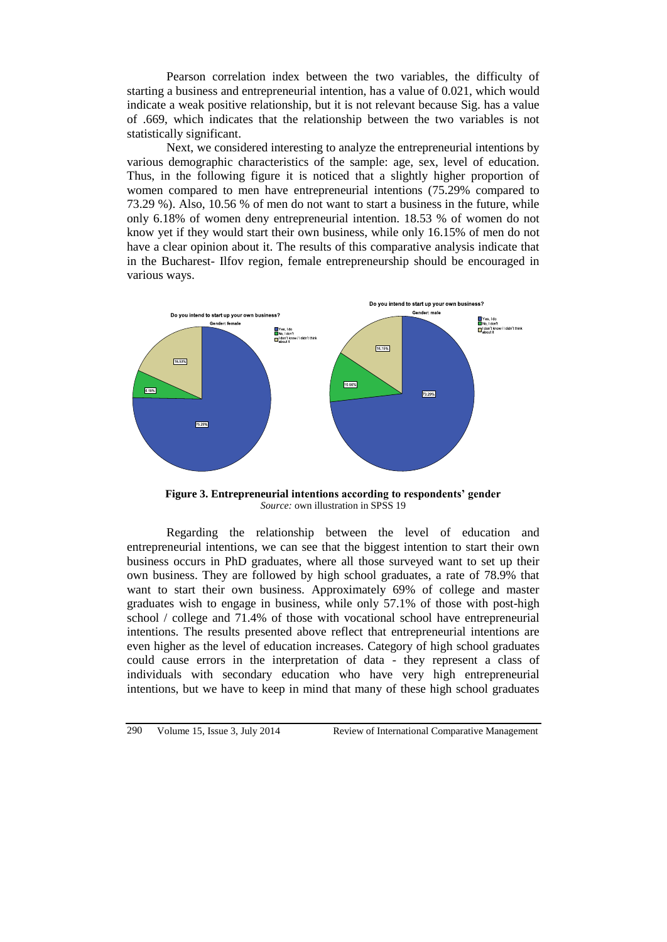Pearson correlation index between the two variables, the difficulty of starting a business and entrepreneurial intention, has a value of 0.021, which would indicate a weak positive relationship, but it is not relevant because Sig. has a value of .669, which indicates that the relationship between the two variables is not statistically significant.

Next, we considered interesting to analyze the entrepreneurial intentions by various demographic characteristics of the sample: age, sex, level of education. Thus, in the following figure it is noticed that a slightly higher proportion of women compared to men have entrepreneurial intentions (75.29% compared to 73.29 %). Also, 10.56 % of men do not want to start a business in the future, while only 6.18% of women deny entrepreneurial intention. 18.53 % of women do not know yet if they would start their own business, while only 16.15% of men do not have a clear opinion about it. The results of this comparative analysis indicate that in the Bucharest- Ilfov region, female entrepreneurship should be encouraged in various ways.



**Figure 3. Entrepreneurial intentions according to respondents' gender** *Source:* own illustration in SPSS 19

Regarding the relationship between the level of education and entrepreneurial intentions, we can see that the biggest intention to start their own business occurs in PhD graduates, where all those surveyed want to set up their own business. They are followed by high school graduates, a rate of 78.9% that want to start their own business. Approximately 69% of college and master graduates wish to engage in business, while only 57.1% of those with post-high school / college and 71.4% of those with vocational school have entrepreneurial intentions. The results presented above reflect that entrepreneurial intentions are even higher as the level of education increases. Category of high school graduates could cause errors in the interpretation of data - they represent a class of individuals with secondary education who have very high entrepreneurial intentions, but we have to keep in mind that many of these high school graduates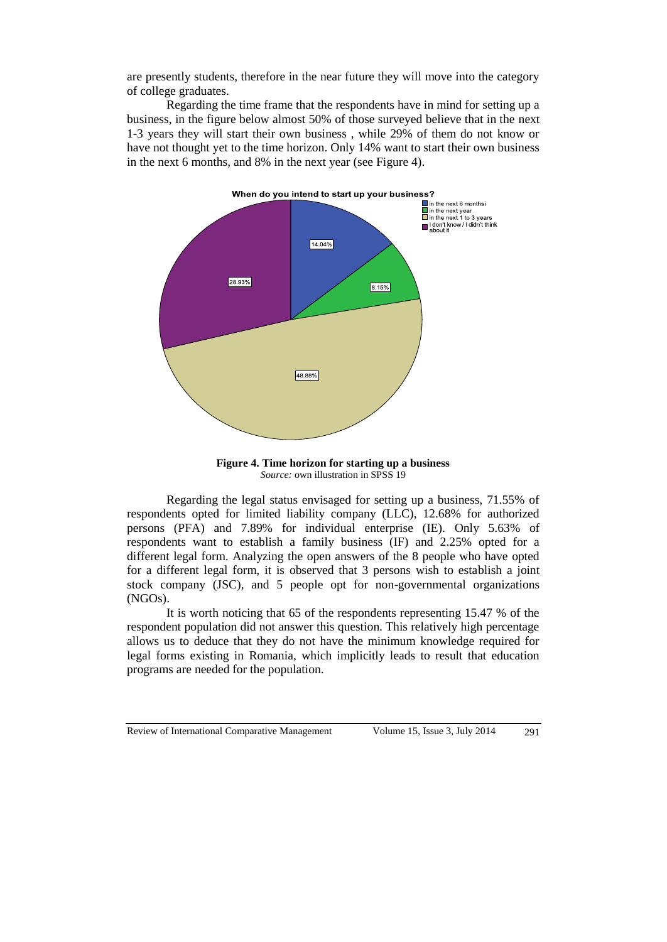are presently students, therefore in the near future they will move into the category of college graduates.

Regarding the time frame that the respondents have in mind for setting up a business, in the figure below almost 50% of those surveyed believe that in the next 1-3 years they will start their own business , while 29% of them do not know or have not thought yet to the time horizon. Only 14% want to start their own business in the next 6 months, and 8% in the next year (see Figure 4).



**Figure 4. Time horizon for starting up a business** *Source:* own illustration in SPSS 19

Regarding the legal status envisaged for setting up a business, 71.55% of respondents opted for limited liability company (LLC), 12.68% for authorized persons (PFA) and 7.89% for individual enterprise (IE). Only 5.63% of respondents want to establish a family business (IF) and 2.25% opted for a different legal form. Analyzing the open answers of the 8 people who have opted for a different legal form, it is observed that 3 persons wish to establish a joint stock company (JSC), and 5 people opt for non-governmental organizations (NGOs).

It is worth noticing that 65 of the respondents representing 15.47 % of the respondent population did not answer this question. This relatively high percentage allows us to deduce that they do not have the minimum knowledge required for legal forms existing in Romania, which implicitly leads to result that education programs are needed for the population.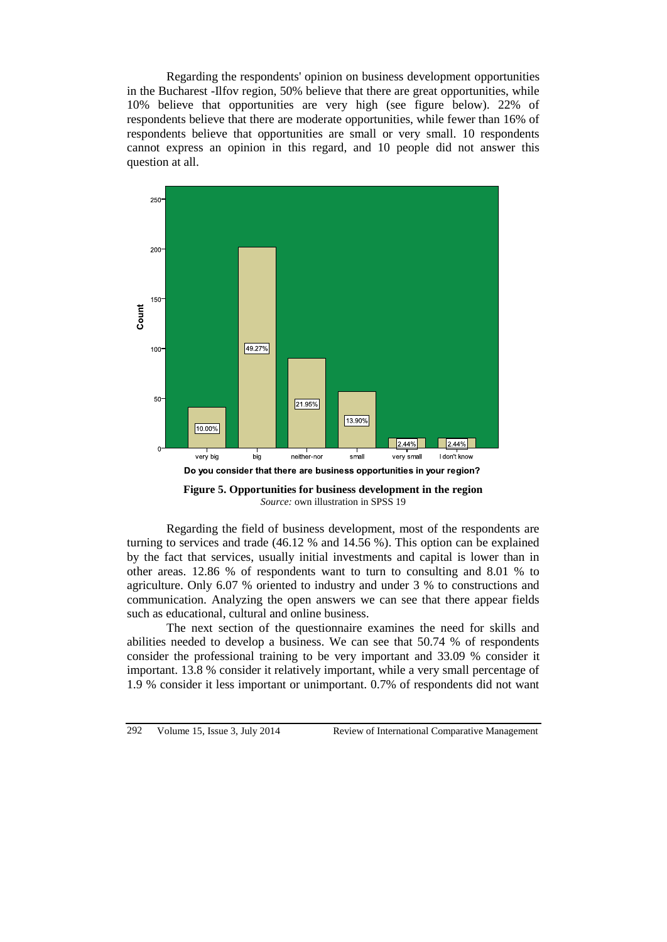Regarding the respondents' opinion on business development opportunities in the Bucharest -Ilfov region, 50% believe that there are great opportunities, while 10% believe that opportunities are very high (see figure below). 22% of respondents believe that there are moderate opportunities, while fewer than 16% of respondents believe that opportunities are small or very small. 10 respondents cannot express an opinion in this regard, and 10 people did not answer this question at all.

![](_page_8_Figure_1.jpeg)

**Figure 5. Opportunities for business development in the region** *Source:* own illustration in SPSS 19

Regarding the field of business development, most of the respondents are turning to services and trade (46.12 % and 14.56 %). This option can be explained by the fact that services, usually initial investments and capital is lower than in other areas. 12.86 % of respondents want to turn to consulting and 8.01 % to agriculture. Only 6.07 % oriented to industry and under 3 % to constructions and communication. Analyzing the open answers we can see that there appear fields such as educational, cultural and online business.

The next section of the questionnaire examines the need for skills and abilities needed to develop a business. We can see that 50.74 % of respondents consider the professional training to be very important and 33.09 % consider it important. 13.8 % consider it relatively important, while a very small percentage of 1.9 % consider it less important or unimportant. 0.7% of respondents did not want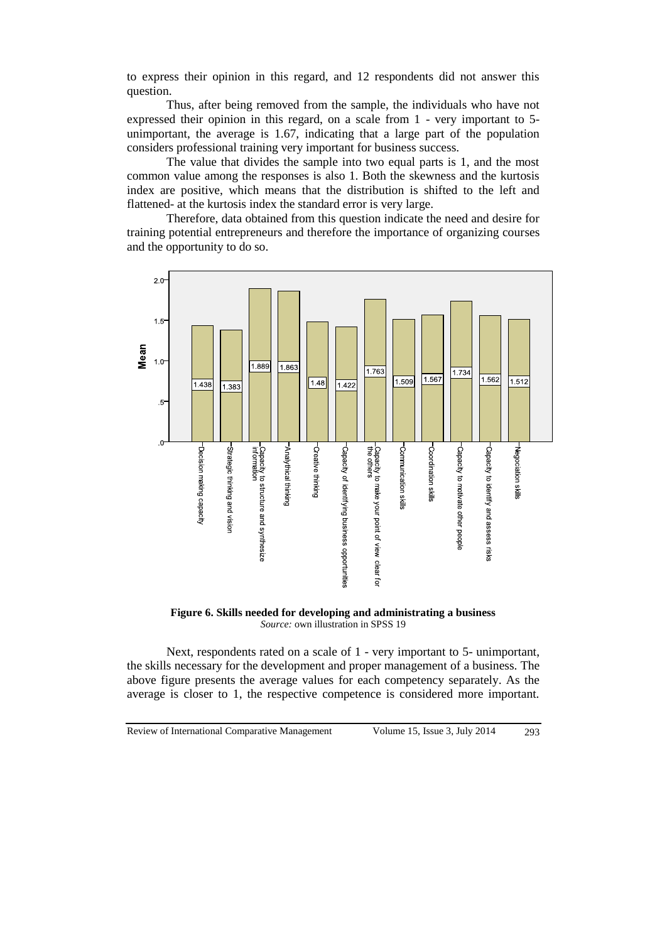to express their opinion in this regard, and 12 respondents did not answer this question.

Thus, after being removed from the sample, the individuals who have not expressed their opinion in this regard, on a scale from 1 - very important to 5 unimportant, the average is 1.67, indicating that a large part of the population considers professional training very important for business success.

The value that divides the sample into two equal parts is 1, and the most common value among the responses is also 1. Both the skewness and the kurtosis index are positive, which means that the distribution is shifted to the left and flattened- at the kurtosis index the standard error is very large.

Therefore, data obtained from this question indicate the need and desire for training potential entrepreneurs and therefore the importance of organizing courses and the opportunity to do so.

![](_page_9_Figure_4.jpeg)

**Figure 6. Skills needed for developing and administrating a business** *Source:* own illustration in SPSS 19

Next, respondents rated on a scale of 1 - very important to 5- unimportant, the skills necessary for the development and proper management of a business. The above figure presents the average values for each competency separately. As the average is closer to 1, the respective competence is considered more important.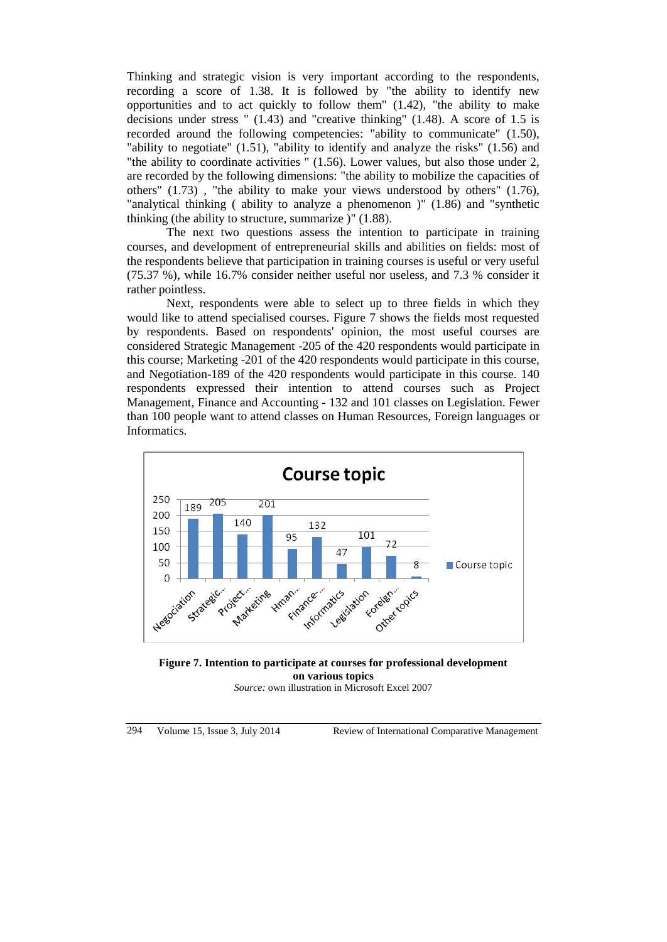Thinking and strategic vision is very important according to the respondents, recording a score of 1.38. It is followed by "the ability to identify new opportunities and to act quickly to follow them" (1.42), "the ability to make decisions under stress " (1.43) and "creative thinking" (1.48). A score of 1.5 is recorded around the following competencies: "ability to communicate" (1.50), "ability to negotiate" (1.51), "ability to identify and analyze the risks" (1.56) and "the ability to coordinate activities " (1.56). Lower values, but also those under 2, are recorded by the following dimensions: "the ability to mobilize the capacities of others" (1.73) , "the ability to make your views understood by others" (1.76), "analytical thinking ( ability to analyze a phenomenon )" (1.86) and "synthetic thinking (the ability to structure, summarize )" (1.88).

The next two questions assess the intention to participate in training courses, and development of entrepreneurial skills and abilities on fields: most of the respondents believe that participation in training courses is useful or very useful (75.37 %), while 16.7% consider neither useful nor useless, and 7.3 % consider it rather pointless.

Next, respondents were able to select up to three fields in which they would like to attend specialised courses. Figure 7 shows the fields most requested by respondents. Based on respondents' opinion, the most useful courses are considered Strategic Management -205 of the 420 respondents would participate in this course; Marketing -201 of the 420 respondents would participate in this course, and Negotiation-189 of the 420 respondents would participate in this course. 140 respondents expressed their intention to attend courses such as Project Management, Finance and Accounting - 132 and 101 classes on Legislation. Fewer than 100 people want to attend classes on Human Resources, Foreign languages or Informatics.

![](_page_10_Figure_3.jpeg)

![](_page_10_Figure_4.jpeg)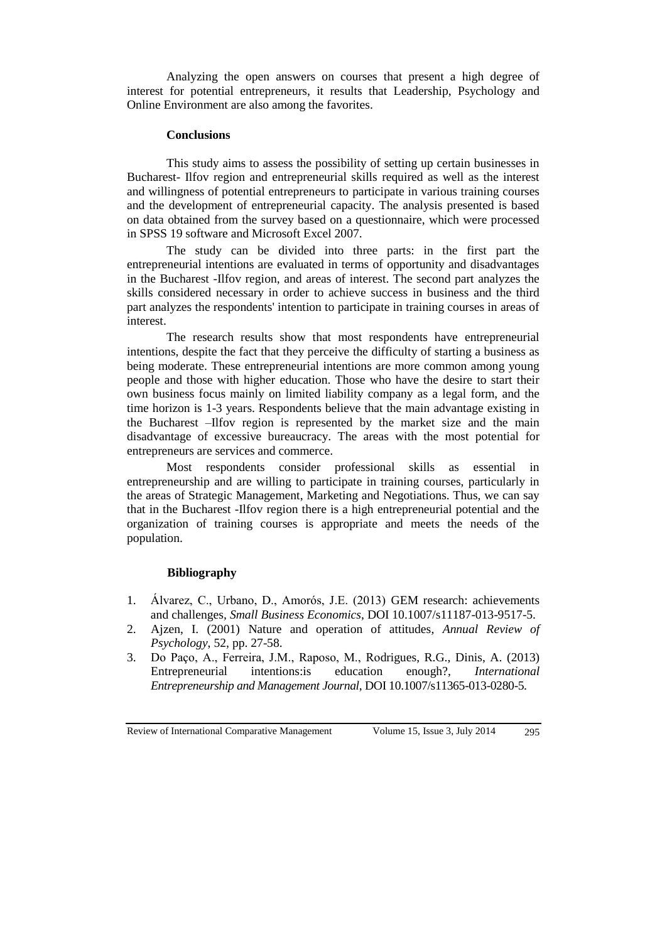Analyzing the open answers on courses that present a high degree of interest for potential entrepreneurs, it results that Leadership, Psychology and Online Environment are also among the favorites.

#### **Conclusions**

This study aims to assess the possibility of setting up certain businesses in Bucharest- Ilfov region and entrepreneurial skills required as well as the interest and willingness of potential entrepreneurs to participate in various training courses and the development of entrepreneurial capacity. The analysis presented is based on data obtained from the survey based on a questionnaire, which were processed in SPSS 19 software and Microsoft Excel 2007.

The study can be divided into three parts: in the first part the entrepreneurial intentions are evaluated in terms of opportunity and disadvantages in the Bucharest -Ilfov region, and areas of interest. The second part analyzes the skills considered necessary in order to achieve success in business and the third part analyzes the respondents' intention to participate in training courses in areas of interest.

The research results show that most respondents have entrepreneurial intentions, despite the fact that they perceive the difficulty of starting a business as being moderate. These entrepreneurial intentions are more common among young people and those with higher education. Those who have the desire to start their own business focus mainly on limited liability company as a legal form, and the time horizon is 1-3 years. Respondents believe that the main advantage existing in the Bucharest –Ilfov region is represented by the market size and the main disadvantage of excessive bureaucracy. The areas with the most potential for entrepreneurs are services and commerce.

Most respondents consider professional skills as essential in entrepreneurship and are willing to participate in training courses, particularly in the areas of Strategic Management, Marketing and Negotiations. Thus, we can say that in the Bucharest -Ilfov region there is a high entrepreneurial potential and the organization of training courses is appropriate and meets the needs of the population.

# **Bibliography**

- 1. Álvarez, C., Urbano, D., Amorós, J.E. (2013) GEM research: achievements and challenges*, Small Business Economics*, DOI 10.1007/s11187-013-9517-5.
- 2. Ajzen, I. (2001) Nature and operation of attitudes, *Annual Review of Psychology*, 52, pp. 27-58.
- 3. Do Paço, A., Ferreira, J.M., Raposo, M., Rodrigues, R.G., Dinis, A. (2013) Entrepreneurial intentions:is education enough?, *International Entrepreneurship and Management Journal*, DOI 10.1007/s11365-013-0280-5.